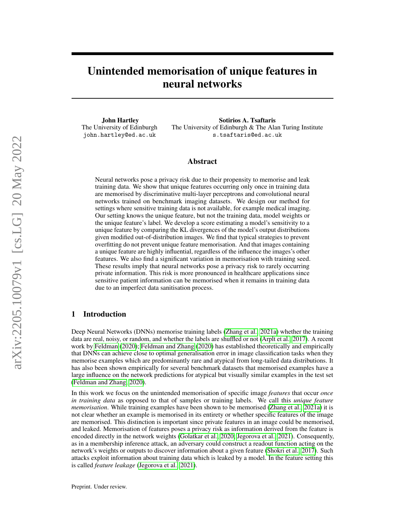# Unintended memorisation of unique features in neural networks

John Hartley The University of Edinburgh john.hartley@ed.ac.uk

Sotirios A. Tsaftaris The University of Edinburgh & The Alan Turing Institute s.tsaftaris@ed.ac.uk

#### Abstract

Neural networks pose a privacy risk due to their propensity to memorise and leak training data. We show that unique features occurring only once in training data are memorised by discriminative multi-layer perceptrons and convolutional neural networks trained on benchmark imaging datasets. We design our method for settings where sensitive training data is not available, for example medical imaging. Our setting knows the unique feature, but not the training data, model weights or the unique feature's label. We develop a score estimating a model's sensitivity to a unique feature by comparing the KL divergences of the model's output distributions given modified out-of-distribution images. We find that typical strategies to prevent overfitting do not prevent unique feature memorisation. And that images containing a unique feature are highly influential, regardless of the influence the images's other features. We also find a significant variation in memorisation with training seed. These results imply that neural networks pose a privacy risk to rarely occurring private information. This risk is more pronounced in healthcare applications since sensitive patient information can be memorised when it remains in training data due to an imperfect data sanitisation process.

# 1 Introduction

Deep Neural Networks (DNNs) memorise training labels [\(Zhang et al., 2021a\)](#page-12-0) whether the training data are real, noisy, or random, and whether the labels are shuffled or not [\(Arplt et al., 2017\)](#page-9-0). A recent work by [Feldman](#page-9-1) [\(2020\)](#page-9-1); [Feldman and Zhang](#page-9-2) [\(2020\)](#page-9-2) has established theoretically and empirically that DNNs can achieve close to optimal generalisation error in image classification tasks when they memorise examples which are predominantly rare and atypical from long-tailed data distributions. It has also been shown empirically for several benchmark datasets that memorised examples have a large influence on the network predictions for atypical but visually similar examples in the test set [\(Feldman and Zhang, 2020\)](#page-9-2).

In this work we focus on the unintended memorisation of specific image *features* that occur *once in training data* as opposed to that of samples or training labels. We call this *unique feature memorisation*. While training examples have been shown to be memorised [\(Zhang et al., 2021a\)](#page-12-0) it is not clear whether an example is memorised in its entirety or whether specific features of the image are memorised. This distinction is important since private features in an image could be memorised, and leaked. Memorisation of features poses a privacy risk as information derived from the feature is encoded directly in the network weights [\(Golatkar et al., 2020;](#page-10-0) [Jegorova et al., 2021\)](#page-10-1). Consequently, as in a membership inference attack, an adversary could construct a readout function acting on the network's weights or outputs to discover information about a given feature [\(Shokri et al., 2017\)](#page-11-0). Such attacks exploit information about training data which is leaked by a model. In the feature setting this is called *feature leakage* [\(Jegorova et al., 2021\)](#page-10-1).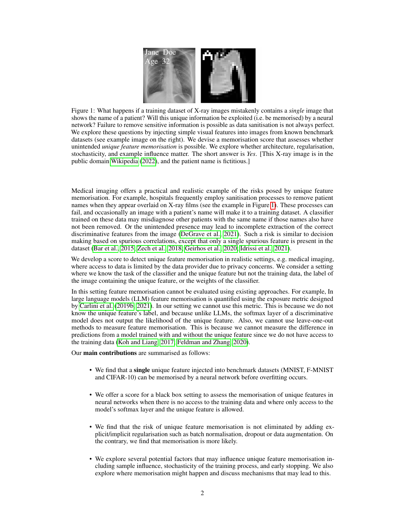<span id="page-1-0"></span>

Figure 1: What happens if a training dataset of X-ray images mistakenly contains a *single* image that shows the name of a patient? Will this unique information be exploited (i.e. be memorised) by a neural network? Failure to remove sensitive information is possible as data sanitisation is not always perfect. We explore these questions by injecting simple visual features into images from known benchmark datasets (see example image on the right). We devise a memorisation score that assesses whether unintended *unique feature memorisation* is possible. We explore whether architecture, regularisation, stochasticity, and example influence matter. The short answer is *Yes*. [This X-ray image is in the public domain [Wikipedia](#page-11-1) [\(2022\)](#page-11-1), and the patient name is fictitious.]

Medical imaging offers a practical and realistic example of the risks posed by unique feature memorisation. For example, hospitals frequently employ sanitisation processes to remove patient names when they appear overlaid on X-ray films (see the example in Figure [1\)](#page-1-0). These processes can fail, and occasionally an image with a patient's name will make it to a training dataset. A classifier trained on these data may misdiagnose other patients with the same name if those names also have not been removed. Or the unintended presence may lead to incomplete extraction of the correct discriminative features from the image [\(DeGrave et al., 2021\)](#page-9-3). Such a risk is similar to decision making based on spurious correlations, except that only a single spurious feature is present in the dataset [\(Bar et al., 2015;](#page-9-4) [Zech et al., 2018;](#page-11-2) [Geirhos et al., 2020;](#page-10-2) [Idrissi et al., 2021\)](#page-10-3).

We develop a score to detect unique feature memorisation in realistic settings, e.g. medical imaging, where access to data is limited by the data provider due to privacy concerns. We consider a setting where we know the task of the classifier and the unique feature but not the training data, the label of the image containing the unique feature, or the weights of the classifier.

In this setting feature memorisation cannot be evaluated using existing approaches. For example, In large language models (LLM) feature memorisation is quantified using the exposure metric designed by [Carlini et al.](#page-9-5) [\(2019b,](#page-9-5) [2021\)](#page-9-6). In our setting we cannot use this metric. This is because we do not know the unique feature's label, and because unlike LLMs, the softmax layer of a discriminative model does not output the likelihood of the unique feature. Also, we cannot use leave-one-out methods to measure feature memorisation. This is because we cannot measure the difference in predictions from a model trained with and without the unique feature since we do not have access to the training data [\(Koh and Liang, 2017;](#page-10-4) [Feldman and Zhang, 2020\)](#page-9-2).

Our main contributions are summarised as follows:

- We find that a single unique feature injected into benchmark datasets (MNIST, F-MNIST and CIFAR-10) can be memorised by a neural network before overfitting occurs.
- We offer a score for a black box setting to assess the memorisation of unique features in neural networks when there is no access to the training data and where only access to the model's softmax layer and the unique feature is allowed.
- We find that the risk of unique feature memorisation is not eliminated by adding explicit/implicit regularisation such as batch normalisation, dropout or data augmentation. On the contrary, we find that memorisation is more likely.
- We explore several potential factors that may influence unique feature memorisation including sample influence, stochasticity of the training process, and early stopping. We also explore where memorisation might happen and discuss mechanisms that may lead to this.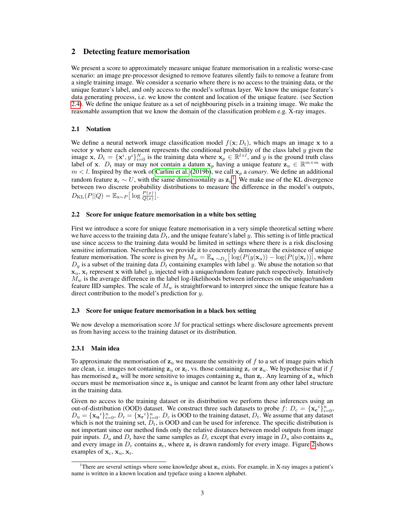## 2 Detecting feature memorisation

We present a score to approximately measure unique feature memorisation in a realistic worse-case scenario: an image pre-processor designed to remove features silently fails to remove a feature from a single training image. We consider a scenario where there is no access to the training data, or the unique feature's label, and only access to the model's softmax layer. We know the unique feature's data generating process, i.e. we know the content and location of the unique feature. (see Section [2.4\)](#page-3-0). We define the unique feature as a set of neighbouring pixels in a training image. We make the reasonable assumption that we know the domain of the classification problem e.g. X-ray images.

#### 2.1 Notation

We define a neural network image classification model  $f(\mathbf{x}; D_t)$ , which maps an image x to a vector y where each element represents the conditional probability of the class label y given the image **x**,  $D_t = \{x^i, y^i\}_{i=0}^N$  is the training data where  $\mathbf{x}_p \in \mathbb{R}^{l \times l}$ , and y is the ground truth class label of x.  $D_t$  may or may not contain a datum  $x_p$  having a unique feature  $z_u \in \mathbb{R}^{m \times m}$  with  $m < l$ . Inspired by the work of [Carlini et al.](#page-9-5) [\(2019b\)](#page-9-5), we call  $x_p$  a *canary*. We define an additional random feature  $z_r \sim U$ , with the same dimensionality as  $z_u$ <sup>[1](#page-2-0)</sup>. We make use of the KL divergence between two discrete probability distributions to measure the difference in the model's outputs,  $D_{\text{KL}}(P||Q) = \mathbb{E}_{\mathbf{x} \sim P} \big[ \log \frac{P(x)}{Q(x)} \big].$ 

#### 2.2 Score for unique feature memorisation in a white box setting

First we introduce a score for unique feature memorisation in a very simple theoretical setting where we have access to the training data  $D_t$ , and the unique feature's label y. This setting is of little practical use since access to the training data would be limited in settings where there is a risk disclosing sensitive information. Nevertheless we provide it to concretely demonstrate the existence of unique feature memorisation. The score is given by  $M_w = \mathbb{E}_{\mathbf{x} \sim D_y} \left[ \log(P(y|\mathbf{x}_u)) - \log(P(y|\mathbf{x}_r)) \right]$ , where  $D_y$  is a subset of the training data  $D_t$  containing examples with label y. We abuse the notation so that  $x<sub>u</sub>$ ,  $x<sub>r</sub>$  represent x with label y, injected with a unique/random feature patch respectively. Intuitively  $M_w$  is the average difference in the label log-likelihoods between inferences on the unique/random feature IID samples. The scale of  $M_w$  is straightforward to interpret since the unique feature has a direct contribution to the model's prediction for y.

#### 2.3 Score for unique feature memorisation in a black box setting

We now develop a memorisation score M for practical settings where disclosure agreements prevent us from having access to the training dataset or its distribution.

#### 2.3.1 Main idea

To approximate the memorisation of  $z<sub>u</sub>$  we measure the sensitivity of f to a set of image pairs which are clean, i.e. images not containing  $z<sub>u</sub>$  or  $z<sub>r</sub>$ , vs. those containing  $z<sub>r</sub>$  or  $z<sub>u</sub>$ . We hypothesise that if f has memorised  $z_{\rm u}$  will be more sensitive to images containing  $z_{\rm u}$  than  $z_{\rm r}$ . Any learning of  $z_{\rm u}$  which occurs must be memorisation since  $z<sub>u</sub>$  is unique and cannot be learnt from any other label structure in the training data.

Given no access to the training dataset or its distribution we perform these inferences using an out-of-distribution (OOD) dataset. We construct three such datasets to probe  $f: D_c = {\mathbf{x_c}^i}_{i=0}^n$  $D_u = {\mathbf{x}_u}^i_{i=0}^n$ ,  $D_r = {\mathbf{x}_r}^i_{i=0}^n$ .  $D_c$  is OOD to the training dataset,  $D_t$ . We assume that any dataset which is not the training set,  $D_t$ , is OOD and can be used for inference. The specific distribution is not important since our method finds only the relative distances between model outputs from image pair inputs.  $D_u$  and  $D_r$  have the same samples as  $D_c$  except that every image in  $D_u$  also contains  $z_u$ and every image in  $D_r$  contains  $\mathbf{z}_r$ , where  $\mathbf{z}_r$  is drawn randomly for every image. Figure [2](#page-3-1) shows examples of  $\mathbf{x}_c, \mathbf{x}_u, \mathbf{x}_r$ .

<span id="page-2-0"></span><sup>&</sup>lt;sup>1</sup>There are several settings where some knowledge about  $z<sub>u</sub>$  exists. For example, in X-ray images a patient's name is written in a known location and typeface using a known alphabet.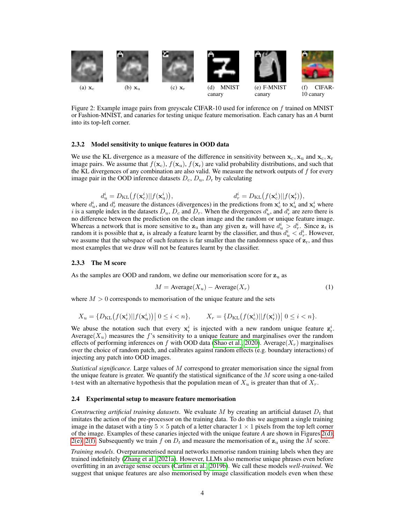<span id="page-3-1"></span>

<span id="page-3-4"></span><span id="page-3-3"></span><span id="page-3-2"></span>Figure 2: Example image pairs from greyscale CIFAR-10 used for inference on  $f$  trained on MNIST or Fashion-MNIST, and canaries for testing unique feature memorisation. Each canary has an *A* burnt into its top-left corner.

#### 2.3.2 Model sensitivity to unique features in OOD data

We use the KL divergence as a measure of the difference in sensitivity between  $x_c, x_u$  and  $x_c, x_r$ image pairs. We assume that  $f(\mathbf{x}_c)$ ,  $f(\mathbf{x}_u)$ ,  $f(\mathbf{x}_r)$  are valid probability distributions, and such that the KL divergences of any combination are also valid. We measure the network outputs of  $f$  for every image pair in the OOD inference datasets  $D_c$ ,  $D_u$ ,  $D_r$  by calculating

$$
d_u^i = D_{\text{KL}}\big(f(\mathbf{x}_c^i)||f(\mathbf{x}_u^i)\big),\qquad \qquad d_r^i = D_{\text{KL}}\big(f(\mathbf{x}_c^i)||f(\mathbf{x}_r^i)\big),
$$

where  $d_u^i$ , and  $d_r^i$  measure the distances (divergences) in the predictions from  $x_c^i$  to  $x_u^i$  and  $x_r^i$  where i is a sample index in the datasets  $D_u$ ,  $D_c$  and  $D_r$ . When the divergences  $d_u^i$ , and  $d_r^i$  are zero there is no difference between the prediction on the clean image and the random or unique feature image. Whereas a network that is more sensitive to  $z_u$  than any given  $z_x$  will have  $d_u^i > d_x^i$ . Since  $z_x$  is random it is possible that  $z_r$  is already a feature learnt by the classifier, and thus  $d_u^i < d_r^i$ . However, we assume that the subspace of such features is far smaller than the randomness space of  $z_r$ , and thus most examples that we draw will not be features learnt by the classifier.

#### 2.3.3 The M score

As the samples are OOD and random, we define our memorisation score for  $z<sub>u</sub>$  as

$$
M = \text{Average}(X_u) - \text{Average}(X_r) \tag{1}
$$

where  $M > 0$  corresponds to memorisation of the unique feature and the sets

$$
X_u = \{D_{\text{KL}}\big(f(\mathbf{x}_c^i)||f(\mathbf{x}_u^i)\big)\big| \ 0 \leq i < n\}, \qquad X_r = \{D_{\text{KL}}\big(f(\mathbf{x}_c^i)||f(\mathbf{x}_r^i)\big)\big| \ 0 \leq i < n\}.
$$

We abuse the notation such that every  $x_i^i$  is injected with a new random unique feature  $z_i^i$ . Average( $X_u$ ) measures the f's sensitivity to a unique feature and marginalises over the random effects of performing inferences on f with OOD data [\(Shao et al., 2020\)](#page-11-3). Average( $X_r$ ) marginalises over the choice of random patch, and calibrates against random effects (e.g. boundary interactions) of injecting any patch into OOD images.

*Statistical significance.* Large values of M correspond to greater memorisation since the signal from the unique feature is greater. We quantify the statistical significance of the  $M$  score using a one-tailed t-test with an alternative hypothesis that the population mean of  $X_u$  is greater than that of  $X_r$ .

#### <span id="page-3-0"></span>2.4 Experimental setup to measure feature memorisation

*Constructing artificial training datasets.* We evaluate M by creating an artificial dataset  $D_t$  that imitates the action of the pre-processor on the training data. To do this we augment a single training image in the dataset with a tiny  $5 \times 5$  patch of a letter character  $1 \times 1$  pixels from the top left corner of the image. Examples of these canaries injected with the unique feature *A* are shown in Figures [2\(d\),](#page-3-2) [2\(e\),](#page-3-3) [2\(f\).](#page-3-4) Subsequently we train f on  $D_t$  and measure the memorisation of  $z_u$  using the M score.

*Training models*. Overparameterised neural networks memorise random training labels when they are trained indefinitely [\(Zhang et al., 2021a\)](#page-12-0). However, LLMs also memorise unique phrases even before overfitting in an average sense occurs [\(Carlini et al., 2019b\)](#page-9-5). We call these models *well-trained*. We suggest that unique features are also memorised by image classification models even when these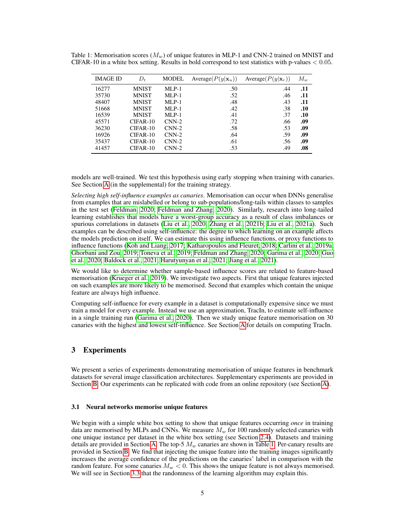| IMAGE ID | $D_t$        | <b>MODEL</b> | Average $(P(y \mathbf{x}_u))$ | Average $(P(y \mathbf{x}_r))$ | $M_w$ |
|----------|--------------|--------------|-------------------------------|-------------------------------|-------|
| 16277    | <b>MNIST</b> | $MLP-1$      | .50                           | .44                           | .11   |
| 35730    | <b>MNIST</b> | $MLP-1$      | .52                           | .46                           | .11   |
| 48407    | <b>MNIST</b> | $MLP-1$      | .48                           | .43                           | .11   |
| 51668    | <b>MNIST</b> | $MLP-1$      | .42                           | .38                           | .10   |
| 16539    | MNIST        | $MLP-1$      | .41                           | .37                           | .10   |
| 45571    | $CIFAR-10$   | $CNN-2$      | .72                           | .66                           | .09   |
| 36230    | CIFAR-10     | $CNN-2$      | .58                           | .53                           | .09   |
| 16926    | $CIFAR-10$   | $CNN-2$      | .64                           | .59                           | .09   |
| 35437    | $CIFAR-10$   | $CNN-2$      | .61                           | .56                           | .09   |
| 41457    | CIFAR-10     | $CNN-2$      | .53                           | .49                           | .08   |

<span id="page-4-0"></span>Table 1: Memorisation scores  $(M_w)$  of unique features in MLP-1 and CNN-2 trained on MNIST and CIFAR-10 in a white box setting. Results in bold correspond to test statistics with p-values  $< 0.05$ .

models are well-trained. We test this hypothesis using early stopping when training with canaries. See Section [A](#page-13-0) (in the supplemental) for the training strategy.

*Selecting high self-influence examples as canaries*. Memorisation can occur when DNNs generalise from examples that are mislabelled or belong to sub-populations/long-tails within classes to samples in the test set [\(Feldman, 2020;](#page-9-1) [Feldman and Zhang, 2020\)](#page-9-2). Similarly, research into long-tailed learning establishes that models have a worst-group accuracy as a result of class imbalances or spurious correlations in datasets [\(Liu et al., 2020;](#page-11-4) [Zhang et al., 2021b;](#page-12-1) [Liu et al., 2021a\)](#page-11-5). Such examples can be described using self-influence: the degree to which learning on an example affects the models prediction on itself. We can estimate this using influence functions, or proxy functions to influence functions [\(Koh and Liang, 2017;](#page-10-4) [Katharopoulos and Fleuret, 2018;](#page-10-5) [Carlini et al., 2019a;](#page-9-7) [Ghorbani and Zou, 2019;](#page-10-6) [Toneva et al., 2019;](#page-11-6) [Feldman and Zhang, 2020;](#page-9-2) [Garima et al., 2020;](#page-9-8) [Guo](#page-10-7) [et al., 2020;](#page-10-7) [Baldock et al., 2021;](#page-9-9) [Harutyunyan et al., 2021;](#page-10-8) [Jiang et al., 2021\)](#page-10-9).

We would like to determine whether sample-based influence scores are related to feature-based memorisation [\(Krueger et al., 2019\)](#page-10-10). We investigate two aspects. First that unique features injected on such examples are more likely to be memorised. Second that examples which contain the unique feature are always high influence.

Computing self-influence for every example in a dataset is computationally expensive since we must train a model for every example. Instead we use an approximation, TracIn, to estimate self-influence in a single training run [\(Garima et al., 2020\)](#page-9-8). Then we study unique feature memorisation on 30 canaries with the highest and lowest self-influence. See Section [A](#page-13-0) for details on computing TracIn.

# 3 Experiments

We present a series of experiments demonstrating memorisation of unique features in benchmark datasets for several image classification architectures. Supplementary experiments are provided in Section [B.](#page-14-0) Our experiments can be replicated with code from an online repository (see Section [A\)](#page-13-0).

#### 3.1 Neural networks memorise unique features

We begin with a simple white box setting to show that unique features occurring *once* in training data are memorised by MLPs and CNNs. We measure  $M_w$  for 100 randomly selected canaries with one unique instance per dataset in the white box setting (see Section [2.4\)](#page-3-0). Datasets and training details are provided in Section [A.](#page-13-0) The top-5  $M_w$  canaries are shown in Table [1.](#page-4-0) Per-canary results are provided in Section [B.](#page-14-0) We find that injecting the unique feature into the training images significantly increases the average confidence of the predictions on the canaries' label in comparison with the random feature. For some canaries  $M_w < 0$ . This shows the unique feature is not always memorised. We will see in Section [3.3](#page-6-0) that the randomness of the learning algorithm may explain this.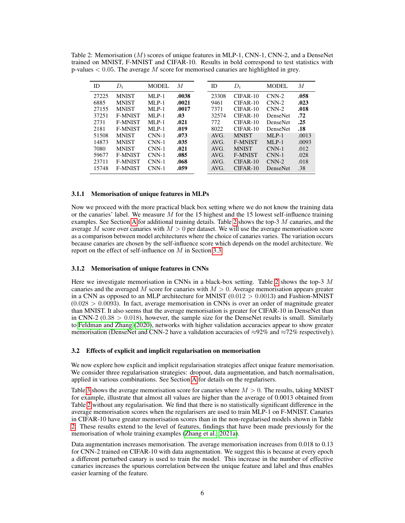<span id="page-5-0"></span>Table 2: Memorisation (M) scores of unique features in MLP-1, CNN-1, CNN-2, and a DenseNet trained on MNIST, F-MNIST and CIFAR-10. Results in bold correspond to test statistics with p-values  $< 0.05$ . The average M score for memorised canaries are highlighted in grey.

| ID    | $D_t$          | MODEL    | M     | ID    | $D_t$          | MODEL           | М     |
|-------|----------------|----------|-------|-------|----------------|-----------------|-------|
| 27225 | <b>MNIST</b>   | $MI.P-1$ | .0038 | 23308 | $CIFAR-10$     | $CNN-2$         | .058  |
| 6885  | <b>MNIST</b>   | $MLP-1$  | .0021 | 9461  | $CIFAR-10$     | $CNN-2$         | .023  |
| 27155 | <b>MNIST</b>   | $MLP-1$  | .0017 | 7371  | $CIFAR-10$     | $CNN-2$         | .018  |
| 37251 | <b>F-MNIST</b> | $MLP-1$  | .03   | 32574 | $CIFAR-10$     | <b>DenseNet</b> | .72   |
| 2731  | <b>F-MNIST</b> | $MLP-1$  | .021  | 772   | $CIFAR-10$     | <b>DenseNet</b> | .25   |
| 2181  | <b>F-MNIST</b> | $MI.P-1$ | .019  | 8022  | $CIFAR-10$     | <b>DenseNet</b> | .18   |
| 51508 | <b>MNIST</b>   | $CNN-1$  | .073  | AVG.  | <b>MNIST</b>   | $MLP-1$         | .0013 |
| 14873 | <b>MNIST</b>   | $CNN-1$  | .035  | AVG.  | <b>F-MNIST</b> | $MLP-1$         | .0093 |
| 7080  | <b>MNIST</b>   | $CNN-1$  | .021  | AVG.  | <b>MNIST</b>   | $CNN-1$         | .012  |
| 59677 | <b>F-MNIST</b> | $CNN-1$  | .085  | AVG.  | <b>F-MNIST</b> | $CNN-1$         | .028  |
| 23711 | <b>F-MNIST</b> | $CNN-1$  | .068  | AVG.  | $CIFAR-10$     | $CNN-2$         | .018  |
| 15748 | <b>F-MNIST</b> | $CNN-1$  | .059  | AVG.  | $CIFAR-10$     | <b>DenseNet</b> | .38   |

#### 3.1.1 Memorisation of unique features in MLPs

Now we proceed with the more practical black box setting where we do not know the training data or the canaries' label. We measure  $M$  for the 15 highest and the 15 lowest self-influence training examples. See Section [A](#page-13-0) for additional training details. Table [2](#page-5-0) shows the top-3  $M$  canaries, and the average M score over canaries with  $M > 0$  per dataset. We will use the average memorisation score as a comparison between model architectures where the choice of canaries varies. The variation occurs because canaries are chosen by the self-influence score which depends on the model architecture. We report on the effect of self-influence on M in Section [3.3.](#page-6-0)

#### 3.1.2 Memorisation of unique features in CNNs

Here we investigate memorisation in CNNs in a black-box setting. Table [2](#page-5-0) shows the top-3  $M$ canaries and the averaged M score for canaries with  $M > 0$ . Average memorisation appears greater in a CNN as opposed to an MLP architecture for MNIST  $(0.012 > 0.0013)$  and Fashion-MNIST  $(0.028 > 0.0093)$ . In fact, average memorisation in CNNs is over an order of magnitude greater than MNIST. It also seems that the average memorisation is greater for CIFAR-10 in DenseNet than in CNN-2  $(0.38 > 0.018)$ , however, the sample size for the DenseNet results is small. Similarly to [Feldman and Zhang](#page-9-2) [\(2020\)](#page-9-2), networks with higher validation accuracies appear to show greater memorisation (DenseNet and CNN-2 have a validation accuracies of  $\approx$ 92% and  $\approx$ 72% respectively).

#### 3.2 Effects of explicit and implicit regularisation on memorisation

We now explore how explicit and implicit regularisation strategies affect unique feature memorisation. We consider three regularisation strategies: dropout, data augmentation, and batch normalisation, applied in various combinations. See Section [A](#page-13-0) for details on the regularisers.

Table [3](#page-6-1) shows the average memorisation score for canaries where  $M > 0$ . The results, taking MNIST for example, illustrate that almost all values are higher than the average of 0.0013 obtained from Table [2](#page-5-0) without any regularisation. We find that there is no statistically significant difference in the average memorisation scores when the regularisers are used to train MLP-1 on F-MNIST. Canaries in CIFAR-10 have greater memorisation scores than in the non-regularised models shown in Table [2.](#page-5-0) These results extend to the level of features, findings that have been made previously for the memorisation of whole training examples [\(Zhang et al., 2021a\)](#page-12-0).

Data augmentation increases memorisation. The average memorisation increases from 0.018 to 0.13 for CNN-2 trained on CIFAR-10 with data augmentation. We suggest this is because at every epoch a different perturbed canary is used to train the model. This increase in the number of effective canaries increases the spurious correlation between the unique feature and label and thus enables easier learning of the feature.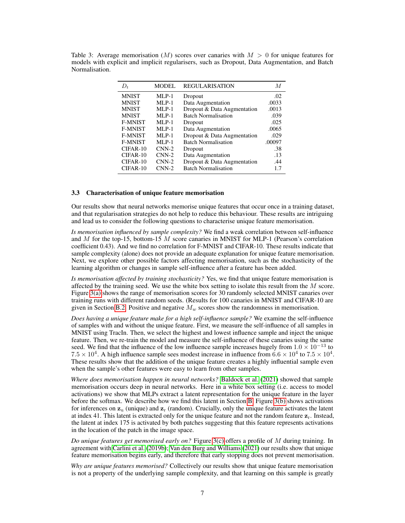<span id="page-6-1"></span>

|                |  | Table 3: Average memorisation (M) scores over canaries with $M > 0$ for unique features for   |  |  |  |  |
|----------------|--|-----------------------------------------------------------------------------------------------|--|--|--|--|
|                |  | models with explicit and implicit regularisers, such as Dropout, Data Augmentation, and Batch |  |  |  |  |
| Normalisation. |  |                                                                                               |  |  |  |  |

| $D_t$          | <b>MODEL</b> | <b>REGULARISATION</b>       | М      |
|----------------|--------------|-----------------------------|--------|
| <b>MNIST</b>   | $MLP-1$      | Dropout                     | .02    |
| <b>MNIST</b>   | $MLP-1$      | Data Augmentation           | .0033  |
| <b>MNIST</b>   | $MLP-1$      | Dropout & Data Augmentation | .0013  |
| <b>MNIST</b>   | $MLP-1$      | <b>Batch Normalisation</b>  | .039   |
| <b>F-MNIST</b> | $MLP-1$      | Dropout                     | .025   |
| <b>F-MNIST</b> | $MLP-1$      | Data Augmentation           | .0065  |
| <b>F-MNIST</b> | $MLP-1$      | Dropout & Data Augmentation | .029   |
| <b>F-MNIST</b> | $MLP-1$      | <b>Batch Normalisation</b>  | .00097 |
| $CIFAR-10$     | $CNN-2$      | Dropout                     | .38    |
| CIFAR-10       | $CNN-2$      | Data Augmentation           | .13    |
| $CIFAR-10$     | $CNN-2$      | Dropout & Data Augmentation | .44    |
| CIFAR-10       | $CNN-2$      | <b>Batch Normalisation</b>  | 1.7    |

#### <span id="page-6-0"></span>3.3 Characterisation of unique feature memorisation

Our results show that neural networks memorise unique features that occur once in a training dataset, and that regularisation strategies do not help to reduce this behaviour. These results are intriguing and lead us to consider the following questions to characterise unique feature memorisation.

*Is memorisation influenced by sample complexity?* We find a weak correlation between self-influence and  $M$  for the top-15, bottom-15  $M$  score canaries in MNIST for MLP-1 (Pearson's correlation coefficient 0.43). And we find no correlation for F-MNIST and CIFAR-10. These results indicate that sample complexity (alone) does not provide an adequate explanation for unique feature memorisation. Next, we explore other possible factors affecting memorisation, such as the stochasticity of the learning algorithm or changes in sample self-influence after a feature has been added.

*Is memorisation affected by training stochasticity?* Yes, we find that unique feature memorisation is affected by the training seed. We use the white box setting to isolate this result from the  $M$  score. Figure [3\(a\)](#page-7-0) shows the range of memorisation scores for 30 randomly selected MNIST canaries over training runs with different random seeds. (Results for 100 canaries in MNIST and CIFAR-10 are given in Section [B.2.](#page-15-0) Positive and negative  $M_w$  scores show the randomness in memorisation.

*Does having a unique feature make for a high self-influence sample?* We examine the self-influence of samples with and without the unique feature. First, we measure the self-influence of all samples in MNIST using TracIn. Then, we select the highest and lowest influence sample and inject the unique feature. Then, we re-train the model and measure the self-influence of these canaries using the same seed. We find that the influence of the low influence sample increases hugely from  $1.0 \times 10^{-13}$  to  $7.5 \times 10^4$ . A high influence sample sees modest increase in influence from  $6.6 \times 10^4$  to  $7.5 \times 10^4$ . These results show that the addition of the unique feature creates a highly influential sample even when the sample's other features were easy to learn from other samples.

*Where does memorisation happen in neural networks?* [Baldock et al.](#page-9-9) [\(2021\)](#page-9-9) showed that sample memorisation occurs deep in neural networks. Here in a white box setting (i.e. access to model activations) we show that MLPs extract a latent representation for the unique feature in the layer before the softmax. We describe how we find this latent in Section [B.](#page-14-0) Figure [3\(b\)](#page-7-1) shows activations for inferences on  $z<sub>u</sub>$  (unique) and  $z<sub>r</sub>$  (random). Crucially, only the unique feature activates the latent at index 41. This latent is extracted only for the unique feature and not the random feature  $z_r$ . Instead, the latent at index 175 is activated by both patches suggesting that this feature represents activations in the location of the patch in the image space.

*Do unique features get memorised early on?* Figure [3\(c\)](#page-7-2) offers a profile of M during training. In agreement with [Carlini et al.](#page-9-5) [\(2019b\)](#page-9-5); [Van den Burg and Williams](#page-11-7) [\(2021\)](#page-11-7) our results show that unique feature memorisation begins early, and therefore that early stopping does not prevent memorisation.

*Why are unique features memorised?* Collectively our results show that unique feature memorisation is not a property of the underlying sample complexity, and that learning on this sample is greatly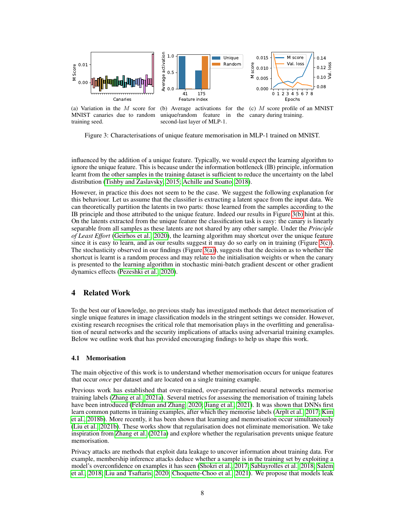<span id="page-7-0"></span>

(a) Variation in the M score for MNIST canaries due to random training seed. (b) Average activations for the  $(c)$  M score profile of an MNIST unique/random feature in the canary during training. second-last layer of MLP-1.

<span id="page-7-2"></span><span id="page-7-1"></span>Figure 3: Characterisations of unique feature memorisation in MLP-1 trained on MNIST.

influenced by the addition of a unique feature. Typically, we would expect the learning algorithm to ignore the unique feature. This is because under the information bottleneck (IB) principle, information learnt from the other samples in the training dataset is sufficient to reduce the uncertainty on the label distribution [\(Tishby and Zaslavsky, 2015;](#page-11-8) [Achille and Soatto, 2018\)](#page-9-10).

However, in practice this does not seem to be the case. We suggest the following explanation for this behaviour. Let us assume that the classifier is extracting a latent space from the input data. We can theoretically partition the latents in two parts: those learned from the samples according to the IB principle and those attributed to the unique feature. Indeed our results in Figure [3\(b\)](#page-7-1) hint at this. On the latents extracted from the unique feature the classification task is easy: the canary is linearly separable from all samples as these latents are not shared by any other sample. Under the *Principle of Least Effort* [\(Geirhos et al., 2020\)](#page-10-2), the learning algorithm may shortcut over the unique feature since it is easy to learn, and as our results suggest it may do so early on in training (Figure [3\(c\)\)](#page-7-2). The stochasticity observed in our findings (Figure [3\(a\)\)](#page-7-0), suggests that the decision as to whether the shortcut is learnt is a random process and may relate to the initialisation weights or when the canary is presented to the learning algorithm in stochastic mini-batch gradient descent or other gradient dynamics effects [\(Pezeshki et al., 2020\)](#page-11-9).

# 4 Related Work

To the best our of knowledge, no previous study has investigated methods that detect memorisation of single unique features in image classification models in the stringent settings we consider. However, existing research recognises the critical role that memorisation plays in the overfitting and generalisation of neural networks and the security implications of attacks using adversarial training examples. Below we outline work that has provided encouraging findings to help us shape this work.

#### 4.1 Memorisation

The main objective of this work is to understand whether memorisation occurs for unique features that occur *once* per dataset and are located on a single training example.

Previous work has established that over-trained, over-parameterised neural networks memorise training labels [\(Zhang et al., 2021a\)](#page-12-0). Several metrics for assessing the memorisation of training labels have been introduced [\(Feldman and Zhang, 2020;](#page-9-2) [Jiang et al., 2021\)](#page-10-9). It was shown that DNNs first learn common patterns in training examples, after which they memorise labels [\(Arplt et al., 2017;](#page-9-0) [Kim](#page-10-11) [et al., 2018b\)](#page-10-11). More recently, it has been shown that learning and memorisation occur simultaneously [\(Liu et al., 2021b\)](#page-11-10). These works show that regularisation does not eliminate memorisation. We take inspiration from [Zhang et al.](#page-12-0) [\(2021a\)](#page-12-0) and explore whether the regularisation prevents unique feature memorisation.

Privacy attacks are methods that exploit data leakage to uncover information about training data. For example, membership inference attacks deduce whether a sample is in the training set by exploiting a model's overconfidence on examples it has seen [\(Shokri et al., 2017;](#page-11-0) [Sablayrolles et al., 2018;](#page-11-11) [Salem](#page-11-12) [et al., 2018;](#page-11-12) [Liu and Tsaftaris, 2020;](#page-11-13) [Choquette-Choo et al., 2021\)](#page-9-11). We propose that models leak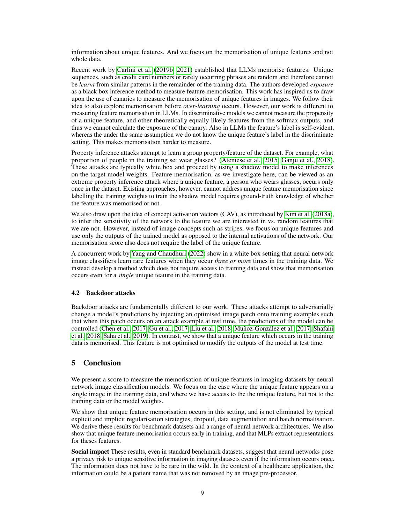information about unique features. And we focus on the memorisation of unique features and not whole data.

Recent work by [Carlini et al.](#page-9-5) [\(2019b,](#page-9-5) [2021\)](#page-9-6) established that LLMs memorise features. Unique sequences, such as credit card numbers or rarely occurring phrases are random and therefore cannot be *learnt* from similar patterns in the remainder of the training data. The authors developed *exposure* as a black box inference method to measure feature memorisation. This work has inspired us to draw upon the use of canaries to measure the memorisation of unique features in images. We follow their idea to also explore memorisation before *over-learning* occurs. However, our work is different to measuring feature memorisation in LLMs. In discriminative models we cannot measure the propensity of a unique feature, and other theoretically equally likely features from the softmax outputs, and thus we cannot calculate the exposure of the canary. Also in LLMs the feature's label is self-evident, whereas the under the same assumption we do not know the unique feature's label in the discriminate setting. This makes memorisation harder to measure.

Property inference attacks attempt to learn a group property/feature of the dataset. For example, what proportion of people in the training set wear glasses? [\(Ateniese et al., 2015;](#page-9-12) [Ganju et al., 2018\)](#page-9-13). These attacks are typically white box and proceed by using a shadow model to make inferences on the target model weights. Feature memorisation, as we investigate here, can be viewed as an extreme property inference attack where a unique feature, a person who wears glasses, occurs only once in the dataset. Existing approaches, however, cannot address unique feature memorisation since labelling the training weights to train the shadow model requires ground-truth knowledge of whether the feature was memorised or not.

We also draw upon the idea of concept activation vectors (CAV), as introduced by [Kim et al.](#page-10-12) [\(2018a\)](#page-10-12), to infer the sensitivity of the network to the feature we are interested in vs. random features that we are not. However, instead of image concepts such as stripes, we focus on unique features and use only the outputs of the trained model as opposed to the internal activations of the network. Our memorisation score also does not require the label of the unique feature.

A concurrent work by [Yang and Chaudhuri](#page-11-14) [\(2022\)](#page-11-14) show in a white box setting that neural network image classifiers learn rare features when they occur *three or more* times in the training data. We instead develop a method which does not require access to training data and show that memorisation occurs even for a *single* unique feature in the training data.

#### 4.2 Backdoor attacks

Backdoor attacks are fundamentally different to our work. These attacks attempt to adversarially change a model's predictions by injecting an optimised image patch onto training examples such that when this patch occurs on an attack example at test time, the predictions of the model can be controlled [\(Chen et al., 2017;](#page-9-14) [Gu et al., 2017;](#page-10-13) [Liu et al., 2018;](#page-11-15) [Muñoz-González et al., 2017;](#page-11-16) [Shafahi](#page-11-17) [et al., 2018;](#page-11-17) [Saha et al., 2019\)](#page-11-18). In contrast, we show that a unique feature which occurs in the training data is memorised. This feature is not optimised to modify the outputs of the model at test time.

# 5 Conclusion

We present a score to measure the memorisation of unique features in imaging datasets by neural network image classification models. We focus on the case where the unique feature appears on a single image in the training data, and where we have access to the the unique feature, but not to the training data or the model weights.

We show that unique feature memorisation occurs in this setting, and is not eliminated by typical explicit and implicit regularisation strategies, dropout, data augmentation and batch normalisation. We derive these results for benchmark datasets and a range of neural network architectures. We also show that unique feature memorisation occurs early in training, and that MLPs extract representations for theses features.

Social impact These results, even in standard benchmark datasets, suggest that neural networks pose a privacy risk to unique sensitive information in imaging datasets even if the information occurs once. The information does not have to be rare in the wild. In the context of a healthcare application, the information could be a patient name that was not removed by an image pre-processor.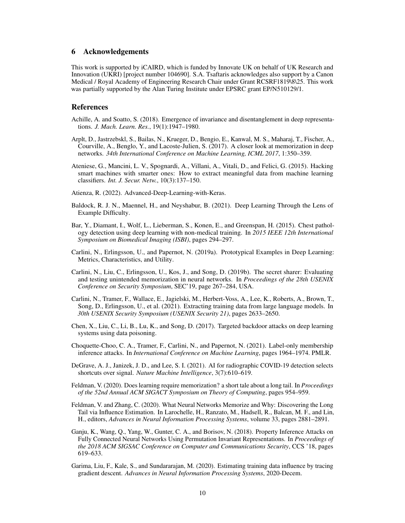# 6 Acknowledgements

This work is supported by iCAIRD, which is funded by Innovate UK on behalf of UK Research and Innovation (UKRI) [project number 104690]. S.A. Tsaftaris acknowledges also support by a Canon Medical / Royal Academy of Engineering Research Chair under Grant RCSRF1819\8\25. This work was partially supported by the Alan Turing Institute under EPSRC grant EP/N510129/1.

# References

- <span id="page-9-10"></span>Achille, A. and Soatto, S. (2018). Emergence of invariance and disentanglement in deep representations. *J. Mach. Learn. Res.*, 19(1):1947–1980.
- <span id="page-9-0"></span>Arplt, D., Jastrzebskl, S., Bailas, N., Krueger, D., Bengio, E., Kanwal, M. S., Maharaj, T., Fischer, A., Courville, A., Benglo, Y., and Lacoste-Julien, S. (2017). A closer look at memorization in deep networks. *34th International Conference on Machine Learning, ICML 2017*, 1:350–359.
- <span id="page-9-12"></span>Ateniese, G., Mancini, L. V., Spognardi, A., Villani, A., Vitali, D., and Felici, G. (2015). Hacking smart machines with smarter ones: How to extract meaningful data from machine learning classifiers. *Int. J. Secur. Netw.*, 10(3):137–150.

<span id="page-9-15"></span>Atienza, R. (2022). Advanced-Deep-Learning-with-Keras.

- <span id="page-9-9"></span>Baldock, R. J. N., Maennel, H., and Neyshabur, B. (2021). Deep Learning Through the Lens of Example Difficulty.
- <span id="page-9-4"></span>Bar, Y., Diamant, I., Wolf, L., Lieberman, S., Konen, E., and Greenspan, H. (2015). Chest pathology detection using deep learning with non-medical training. In *2015 IEEE 12th International Symposium on Biomedical Imaging (ISBI)*, pages 294–297.
- <span id="page-9-7"></span>Carlini, N., Erlingsson, U., and Papernot, N. (2019a). Prototypical Examples in Deep Learning: Metrics, Characteristics, and Utility.
- <span id="page-9-5"></span>Carlini, N., Liu, C., Erlingsson, U., Kos, J., and Song, D. (2019b). The secret sharer: Evaluating and testing unintended memorization in neural networks. In *Proceedings of the 28th USENIX Conference on Security Symposium*, SEC'19, page 267–284, USA.
- <span id="page-9-6"></span>Carlini, N., Tramer, F., Wallace, E., Jagielski, M., Herbert-Voss, A., Lee, K., Roberts, A., Brown, T., Song, D., Erlingsson, U., et al. (2021). Extracting training data from large language models. In *30th USENIX Security Symposium (USENIX Security 21)*, pages 2633–2650.
- <span id="page-9-14"></span>Chen, X., Liu, C., Li, B., Lu, K., and Song, D. (2017). Targeted backdoor attacks on deep learning systems using data poisoning.
- <span id="page-9-11"></span>Choquette-Choo, C. A., Tramer, F., Carlini, N., and Papernot, N. (2021). Label-only membership inference attacks. In *International Conference on Machine Learning*, pages 1964–1974. PMLR.
- <span id="page-9-3"></span>DeGrave, A. J., Janizek, J. D., and Lee, S. I. (2021). AI for radiographic COVID-19 detection selects shortcuts over signal. *Nature Machine Intelligence*, 3(7):610–619.
- <span id="page-9-1"></span>Feldman, V. (2020). Does learning require memorization? a short tale about a long tail. In *Proceedings of the 52nd Annual ACM SIGACT Symposium on Theory of Computing*, pages 954–959.
- <span id="page-9-2"></span>Feldman, V. and Zhang, C. (2020). What Neural Networks Memorize and Why: Discovering the Long Tail via Influence Estimation. In Larochelle, H., Ranzato, M., Hadsell, R., Balcan, M. F., and Lin, H., editors, *Advances in Neural Information Processing Systems*, volume 33, pages 2881–2891.
- <span id="page-9-13"></span>Ganju, K., Wang, Q., Yang, W., Gunter, C. A., and Borisov, N. (2018). Property Inference Attacks on Fully Connected Neural Networks Using Permutation Invariant Representations. In *Proceedings of the 2018 ACM SIGSAC Conference on Computer and Communications Security*, CCS '18, pages 619–633.
- <span id="page-9-8"></span>Garima, Liu, F., Kale, S., and Sundararajan, M. (2020). Estimating training data influence by tracing gradient descent. *Advances in Neural Information Processing Systems*, 2020-Decem.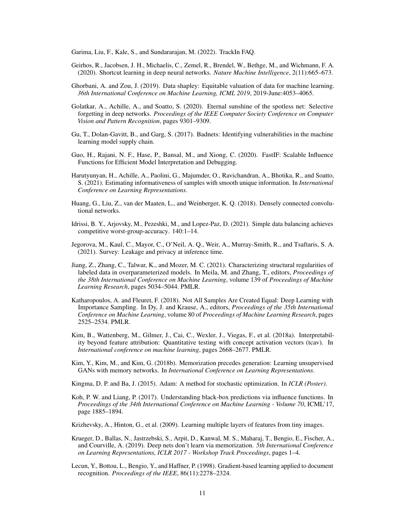<span id="page-10-18"></span>Garima, Liu, F., Kale, S., and Sundararajan, M. (2022). TrackIn FAQ.

- <span id="page-10-2"></span>Geirhos, R., Jacobsen, J. H., Michaelis, C., Zemel, R., Brendel, W., Bethge, M., and Wichmann, F. A. (2020). Shortcut learning in deep neural networks. *Nature Machine Intelligence*, 2(11):665–673.
- <span id="page-10-6"></span>Ghorbani, A. and Zou, J. (2019). Data shapley: Equitable valuation of data for machine learning. *36th International Conference on Machine Learning, ICML 2019*, 2019-June:4053–4065.
- <span id="page-10-0"></span>Golatkar, A., Achille, A., and Soatto, S. (2020). Eternal sunshine of the spotless net: Selective forgetting in deep networks. *Proceedings of the IEEE Computer Society Conference on Computer Vision and Pattern Recognition*, pages 9301–9309.
- <span id="page-10-13"></span>Gu, T., Dolan-Gavitt, B., and Garg, S. (2017). Badnets: Identifying vulnerabilities in the machine learning model supply chain.
- <span id="page-10-7"></span>Guo, H., Rajani, N. F., Hase, P., Bansal, M., and Xiong, C. (2020). FastIF: Scalable Influence Functions for Efficient Model Interpretation and Debugging.
- <span id="page-10-8"></span>Harutyunyan, H., Achille, A., Paolini, G., Majumder, O., Ravichandran, A., Bhotika, R., and Soatto, S. (2021). Estimating informativeness of samples with smooth unique information. In *International Conference on Learning Representations*.
- <span id="page-10-17"></span>Huang, G., Liu, Z., van der Maaten, L., and Weinberger, K. Q. (2018). Densely connected convolutional networks.
- <span id="page-10-3"></span>Idrissi, B. Y., Arjovsky, M., Pezeshki, M., and Lopez-Paz, D. (2021). Simple data balancing achieves competitive worst-group-accuracy. 140:1–14.
- <span id="page-10-1"></span>Jegorova, M., Kaul, C., Mayor, C., O'Neil, A. Q., Weir, A., Murray-Smith, R., and Tsaftaris, S. A. (2021). Survey: Leakage and privacy at inference time.
- <span id="page-10-9"></span>Jiang, Z., Zhang, C., Talwar, K., and Mozer, M. C. (2021). Characterizing structural regularities of labeled data in overparameterized models. In Meila, M. and Zhang, T., editors, *Proceedings of the 38th International Conference on Machine Learning*, volume 139 of *Proceedings of Machine Learning Research*, pages 5034–5044. PMLR.
- <span id="page-10-5"></span>Katharopoulos, A. and Fleuret, F. (2018). Not All Samples Are Created Equal: Deep Learning with Importance Sampling. In Dy, J. and Krause, A., editors, *Proceedings of the 35th International Conference on Machine Learning*, volume 80 of *Proceedings of Machine Learning Research*, pages 2525–2534. PMLR.
- <span id="page-10-12"></span>Kim, B., Wattenberg, M., Gilmer, J., Cai, C., Wexler, J., Viegas, F., et al. (2018a). Interpretability beyond feature attribution: Quantitative testing with concept activation vectors (tcav). In *International conference on machine learning*, pages 2668–2677. PMLR.
- <span id="page-10-11"></span>Kim, Y., Kim, M., and Kim, G. (2018b). Memorization precedes generation: Learning unsupervised GANs with memory networks. In *International Conference on Learning Representations*.
- <span id="page-10-16"></span>Kingma, D. P. and Ba, J. (2015). Adam: A method for stochastic optimization. In *ICLR (Poster)*.
- <span id="page-10-4"></span>Koh, P. W. and Liang, P. (2017). Understanding black-box predictions via influence functions. In *Proceedings of the 34th International Conference on Machine Learning - Volume 70*, ICML'17, page 1885–1894.
- <span id="page-10-15"></span>Krizhevsky, A., Hinton, G., et al. (2009). Learning multiple layers of features from tiny images.
- <span id="page-10-10"></span>Krueger, D., Ballas, N., Jastrzebski, S., Arpit, D., Kanwal, M. S., Maharaj, T., Bengio, E., Fischer, A., and Courville, A. (2019). Deep nets don't learn via memorization. *5th International Conference on Learning Representations, ICLR 2017 - Workshop Track Proceedings*, pages 1–4.
- <span id="page-10-14"></span>Lecun, Y., Bottou, L., Bengio, Y., and Haffner, P. (1998). Gradient-based learning applied to document recognition. *Proceedings of the IEEE*, 86(11):2278–2324.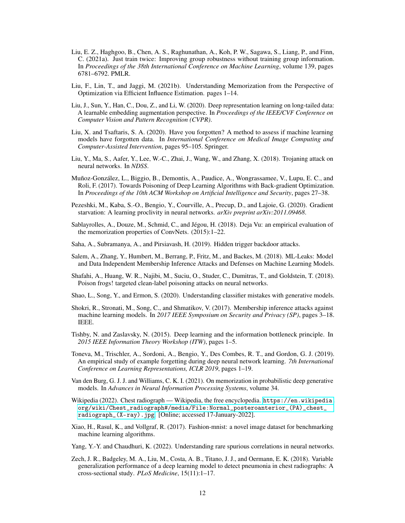- <span id="page-11-5"></span>Liu, E. Z., Haghgoo, B., Chen, A. S., Raghunathan, A., Koh, P. W., Sagawa, S., Liang, P., and Finn, C. (2021a). Just train twice: Improving group robustness without training group information. In *Proceedings of the 38th International Conference on Machine Learning*, volume 139, pages 6781–6792. PMLR.
- <span id="page-11-10"></span>Liu, F., Lin, T., and Jaggi, M. (2021b). Understanding Memorization from the Perspective of Optimization via Efficient Influence Estimation. pages 1–14.
- <span id="page-11-4"></span>Liu, J., Sun, Y., Han, C., Dou, Z., and Li, W. (2020). Deep representation learning on long-tailed data: A learnable embedding augmentation perspective. In *Proceedings of the IEEE/CVF Conference on Computer Vision and Pattern Recognition (CVPR)*.
- <span id="page-11-13"></span>Liu, X. and Tsaftaris, S. A. (2020). Have you forgotten? A method to assess if machine learning models have forgotten data. In *International Conference on Medical Image Computing and Computer-Assisted Intervention*, pages 95–105. Springer.
- <span id="page-11-15"></span>Liu, Y., Ma, S., Aafer, Y., Lee, W.-C., Zhai, J., Wang, W., and Zhang, X. (2018). Trojaning attack on neural networks. In *NDSS*.
- <span id="page-11-16"></span>Muñoz-González, L., Biggio, B., Demontis, A., Paudice, A., Wongrassamee, V., Lupu, E. C., and Roli, F. (2017). Towards Poisoning of Deep Learning Algorithms with Back-gradient Optimization. In *Proceedings of the 10th ACM Workshop on Artificial Intelligence and Security*, pages 27–38.
- <span id="page-11-9"></span>Pezeshki, M., Kaba, S.-O., Bengio, Y., Courville, A., Precup, D., and Lajoie, G. (2020). Gradient starvation: A learning proclivity in neural networks. *arXiv preprint arXiv:2011.09468*.
- <span id="page-11-11"></span>Sablayrolles, A., Douze, M., Schmid, C., and Jégou, H. (2018). Deja Vu: an empirical evaluation of the memorization properties of ConvNets. (2015):1–22.
- <span id="page-11-18"></span>Saha, A., Subramanya, A., and Pirsiavash, H. (2019). Hidden trigger backdoor attacks.
- <span id="page-11-12"></span>Salem, A., Zhang, Y., Humbert, M., Berrang, P., Fritz, M., and Backes, M. (2018). ML-Leaks: Model and Data Independent Membership Inference Attacks and Defenses on Machine Learning Models.
- <span id="page-11-17"></span>Shafahi, A., Huang, W. R., Najibi, M., Suciu, O., Studer, C., Dumitras, T., and Goldstein, T. (2018). Poison frogs! targeted clean-label poisoning attacks on neural networks.
- <span id="page-11-3"></span>Shao, L., Song, Y., and Ermon, S. (2020). Understanding classifier mistakes with generative models.
- <span id="page-11-0"></span>Shokri, R., Stronati, M., Song, C., and Shmatikov, V. (2017). Membership inference attacks against machine learning models. In *2017 IEEE Symposium on Security and Privacy (SP)*, pages 3–18. IEEE.
- <span id="page-11-8"></span>Tishby, N. and Zaslavsky, N. (2015). Deep learning and the information bottleneck principle. In *2015 IEEE Information Theory Workshop (ITW)*, pages 1–5.
- <span id="page-11-6"></span>Toneva, M., Trischler, A., Sordoni, A., Bengio, Y., Des Combes, R. T., and Gordon, G. J. (2019). An empirical study of example forgetting during deep neural network learning. *7th International Conference on Learning Representations, ICLR 2019*, pages 1–19.
- <span id="page-11-7"></span>Van den Burg, G. J. J. and Williams, C. K. I. (2021). On memorization in probabilistic deep generative models. In *Advances in Neural Information Processing Systems*, volume 34.
- <span id="page-11-1"></span>Wikipedia (2022). Chest radiograph — Wikipedia, the free encyclopedia. [https://en.wikipedia.](https://en.wikipedia.org/wiki/Chest_radiograph#/media/File:Normal_posteroanterior_(PA)_chest_radiograph_(X-ray).jpg) [org/wiki/Chest\\_radiograph#/media/File:Normal\\_posteroanterior\\_\(PA\)\\_chest\\_](https://en.wikipedia.org/wiki/Chest_radiograph#/media/File:Normal_posteroanterior_(PA)_chest_radiograph_(X-ray).jpg) [radiograph\\_\(X-ray\).jpg](https://en.wikipedia.org/wiki/Chest_radiograph#/media/File:Normal_posteroanterior_(PA)_chest_radiograph_(X-ray).jpg). [Online; accessed 17-January-2022].
- <span id="page-11-19"></span>Xiao, H., Rasul, K., and Vollgraf, R. (2017). Fashion-mnist: a novel image dataset for benchmarking machine learning algorithms.
- <span id="page-11-14"></span>Yang, Y.-Y. and Chaudhuri, K. (2022). Understanding rare spurious correlations in neural networks.
- <span id="page-11-2"></span>Zech, J. R., Badgeley, M. A., Liu, M., Costa, A. B., Titano, J. J., and Oermann, E. K. (2018). Variable generalization performance of a deep learning model to detect pneumonia in chest radiographs: A cross-sectional study. *PLoS Medicine*, 15(11):1–17.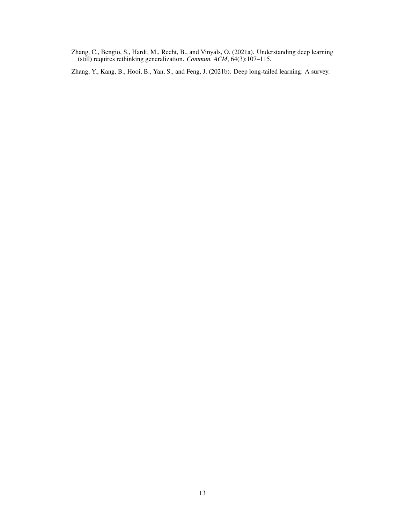<span id="page-12-0"></span>Zhang, C., Bengio, S., Hardt, M., Recht, B., and Vinyals, O. (2021a). Understanding deep learning (still) requires rethinking generalization. *Commun. ACM*, 64(3):107–115.

<span id="page-12-1"></span>Zhang, Y., Kang, B., Hooi, B., Yan, S., and Feng, J. (2021b). Deep long-tailed learning: A survey.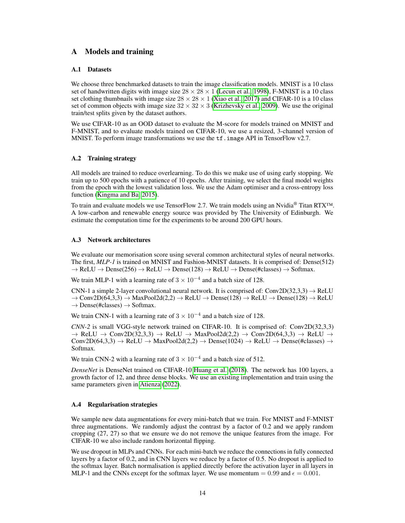# <span id="page-13-0"></span>A Models and training

## A.1 Datasets

We choose three benchmarked datasets to train the image classification models. MNIST is a 10 class set of handwritten digits with image size  $28 \times 28 \times 1$  [\(Lecun et al., 1998\)](#page-10-14), F-MNIST is a 10 class set clothing thumbnails with image size  $28 \times 28 \times 1$  [\(Xiao et al., 2017\)](#page-11-19) and CIFAR-10 is a 10 class set of common objects with image size  $32 \times 32 \times 3$  [\(Krizhevsky et al., 2009\)](#page-10-15). We use the original train/test splits given by the dataset authors.

We use CIFAR-10 as an OOD dataset to evaluate the M-score for models trained on MNIST and F-MNIST, and to evaluate models trained on CIFAR-10, we use a resized, 3-channel version of MNIST. To perform image transformations we use the  $\texttt{tf.image}$  API in TensorFlow v2.7.

## A.2 Training strategy

All models are trained to reduce overlearning. To do this we make use of using early stopping. We train up to 500 epochs with a patience of 10 epochs. After training, we select the final model weights from the epoch with the lowest validation loss. We use the Adam optimiser and a cross-entropy loss function [\(Kingma and Ba, 2015\)](#page-10-16).

To train and evaluate models we use TensorFlow 2.7. We train models using an Nvidia<sup>®</sup> Titan RTX<sup>™.</sup> A low-carbon and renewable energy source was provided by The University of Edinburgh. We estimate the computation time for the experiments to be around 200 GPU hours.

#### A.3 Network architectures

We evaluate our memorisation score using several common architectural styles of neural networks. The first, *MLP-1* is trained on MNIST and Fashion-MNIST datasets. It is comprised of: Dense(512)  $\rightarrow$  ReLU  $\rightarrow$  Dense(256)  $\rightarrow$  ReLU  $\rightarrow$  Dense(128)  $\rightarrow$  ReLU  $\rightarrow$  Dense(#classes)  $\rightarrow$  Softmax.

We train MLP-1 with a learning rate of  $3 \times 10^{-4}$  and a batch size of 128.

CNN-1 a simple 2-layer convolutional neural network. It is comprised of:  $Conv2D(32,3,3) \rightarrow ReLU$  $\rightarrow$  Conv2D(64,3,3)  $\rightarrow$  MaxPool2d(2,2)  $\rightarrow$  ReLU  $\rightarrow$  Dense(128)  $\rightarrow$  ReLU  $\rightarrow$  Dense(128)  $\rightarrow$  ReLU  $\rightarrow$  Dense(#classes)  $\rightarrow$  Softmax.

We train CNN-1 with a learning rate of  $3 \times 10^{-4}$  and a batch size of 128.

*CNN-2* is small VGG-style network trained on CIFAR-10. It is comprised of: Conv2D(32,3,3)  $\rightarrow$  ReLU  $\rightarrow$  Conv2D(32,3,3)  $\rightarrow$  ReLU  $\rightarrow$  MaxPool2d(2,2)  $\rightarrow$  Conv2D(64,3,3)  $\rightarrow$  ReLU  $\rightarrow$  $Conv2D(64,3,3) \rightarrow ReLU \rightarrow MaxPool2d(2,2) \rightarrow Dense(1024) \rightarrow ReLU \rightarrow Dense(tlases) \rightarrow$ Softmax.

We train CNN-2 with a learning rate of  $3 \times 10^{-4}$  and a batch size of 512.

*DenseNet* is DenseNet trained on CIFAR-10 [Huang et al.](#page-10-17) [\(2018\)](#page-10-17). The network has 100 layers, a growth factor of 12, and three dense blocks. We use an existing implementation and train using the same parameters given in [Atienza](#page-9-15) [\(2022\)](#page-9-15).

## A.4 Regularisation strategies

We sample new data augmentations for every mini-batch that we train. For MNIST and F-MNIST three augmentations. We randomly adjust the contrast by a factor of 0.2 and we apply random cropping (27, 27) so that we ensure we do not remove the unique features from the image. For CIFAR-10 we also include random horizontal flipping.

We use dropout in MLPs and CNNs. For each mini-batch we reduce the connections in fully connected layers by a factor of 0.2, and in CNN layers we reduce by a factor of 0.5. No dropout is applied to the softmax layer. Batch normalisation is applied directly before the activation layer in all layers in MLP-1 and the CNNs except for the softmax layer. We use momentum =  $0.99$  and  $\epsilon = 0.001$ .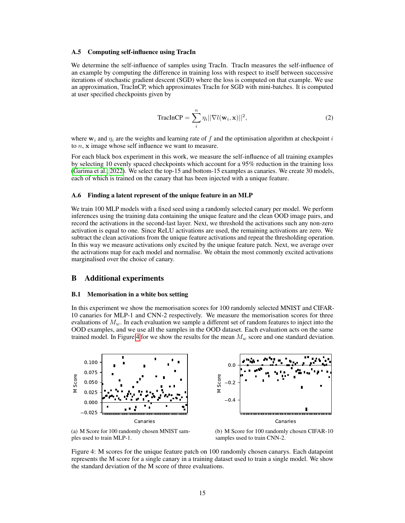#### A.5 Computing self-influence using TracIn

We determine the self-influence of samples using TracIn. TracIn measures the self-influence of an example by computing the difference in training loss with respect to itself between successive iterations of stochastic gradient descent (SGD) where the loss is computed on that example. We use an approximation, TracInCP, which approximates TracIn for SGD with mini-batches. It is computed at user specified checkpoints given by

$$
\text{TracInCP} = \sum_{i}^{n} \eta_i ||\nabla l(\mathbf{w}_i, \mathbf{x})||^2, \tag{2}
$$

where  $w_i$  and  $\eta_i$  are the weights and learning rate of f and the optimisation algorithm at checkpoint i to  $n$ ,  $x$  image whose self influence we want to measure.

For each black box experiment in this work, we measure the self-influence of all training examples by selecting 10 evenly spaced checkpoints which account for a 95% reduction in the training loss [\(Garima et al., 2022\)](#page-10-18). We select the top-15 and bottom-15 examples as canaries. We create 30 models, each of which is trained on the canary that has been injected with a unique feature.

# A.6 Finding a latent represent of the unique feature in an MLP

We train 100 MLP models with a fixed seed using a randomly selected canary per model. We perform inferences using the training data containing the unique feature and the clean OOD image pairs, and record the activations in the second-last layer. Next, we threshold the activations such any non-zero activation is equal to one. Since ReLU activations are used, the remaining activations are zero. We subtract the clean activations from the unique feature activations and repeat the thresholding operation. In this way we measure activations only excited by the unique feature patch. Next, we average over the activations map for each model and normalise. We obtain the most commonly excited activations marginalised over the choice of canary.

#### <span id="page-14-0"></span>B Additional experiments

#### <span id="page-14-2"></span>B.1 Memorisation in a white box setting

In this experiment we show the memorisation scores for 100 randomly selected MNIST and CIFAR-10 canaries for MLP-1 and CNN-2 respectively. We measure the memorisation scores for three evaluations of  $M_w$ . In each evaluation we sample a different set of random features to inject into the OOD examples, and we use all the samples in the OOD dataset. Each evaluation acts on the same trained model. In Figure [4](#page-14-1) for we show the results for the mean  $M_w$  score and one standard deviation.

<span id="page-14-1"></span>

(a) M Score for 100 randomly chosen MNIST samples used to train MLP-1.

(b) M Score for 100 randomly chosen CIFAR-10 samples used to train CNN-2.

Figure 4: M scores for the unique feature patch on 100 randomly chosen canarys. Each datapoint represents the M score for a single canary in a training dataset used to train a single model. We show the standard deviation of the M score of three evaluations.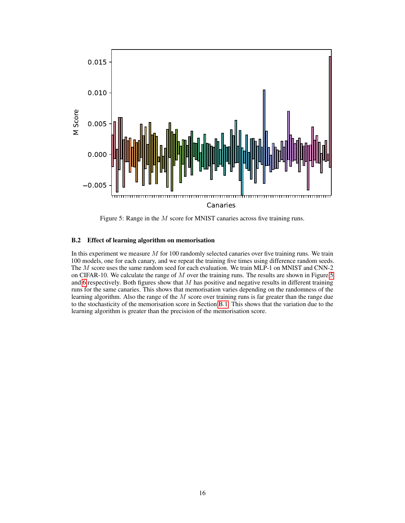<span id="page-15-1"></span>

Figure 5: Range in the M score for MNIST canaries across five training runs.

## <span id="page-15-0"></span>B.2 Effect of learning algorithm on memorisation

In this experiment we measure  $M$  for 100 randomly selected canaries over five training runs. We train 100 models, one for each canary, and we repeat the training five times using difference random seeds. The M score uses the same random seed for each evaluation. We train MLP-1 on MNIST and CNN-2 on CIFAR-10. We calculate the range of M over the training runs. The results are shown in Figure [5](#page-15-1) and [6](#page-16-0) respectively. Both figures show that  $M$  has positive and negative results in different training runs for the same canaries. This shows that memorisation varies depending on the randomness of the learning algorithm. Also the range of the  $M$  score over training runs is far greater than the range due to the stochasticity of the memorisation score in Section [B.1.](#page-14-2) This shows that the variation due to the learning algorithm is greater than the precision of the memorisation score.